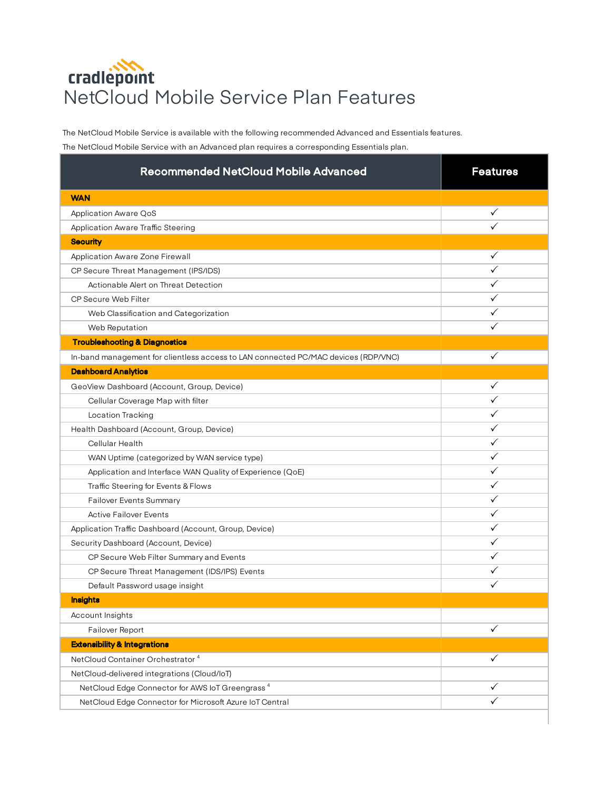## cradlepoint NetCloud Mobile Service Plan Features

The NetCloud Mobile Service is available with the following recommended Advanced and Essentials features.

The NetCloud Mobile Service with an Advanced plan requires a corresponding Essentials plan.

| <b>Recommended NetCloud Mobile Advanced</b>                                        | <b>Features</b> |
|------------------------------------------------------------------------------------|-----------------|
| <b>WAN</b>                                                                         |                 |
| Application Aware QoS                                                              | ✓               |
| Application Aware Traffic Steering                                                 |                 |
| <b>Security</b>                                                                    |                 |
| Application Aware Zone Firewall                                                    | ✓               |
| CP Secure Threat Management (IPS/IDS)                                              | ✓               |
| Actionable Alert on Threat Detection                                               | ✓               |
| CP Secure Web Filter                                                               | ✓               |
| Web Classification and Categorization                                              | ✓               |
| Web Reputation                                                                     |                 |
| <b>Troubleshooting &amp; Diagnostics</b>                                           |                 |
| In-band management for clientless access to LAN connected PC/MAC devices (RDP/VNC) | ✓               |
| <b>Dashboard Analytics</b>                                                         |                 |
| GeoView Dashboard (Account, Group, Device)                                         | ✓               |
| Cellular Coverage Map with filter                                                  |                 |
| Location Tracking                                                                  |                 |
| Health Dashboard (Account, Group, Device)                                          | ✓               |
| Cellular Health                                                                    | ✓               |
| WAN Uptime (categorized by WAN service type)                                       | ✓               |
| Application and Interface WAN Quality of Experience (QoE)                          | ✓               |
| Traffic Steering for Events & Flows                                                | ✓               |
| <b>Failover Events Summary</b>                                                     | ✓               |
| <b>Active Failover Events</b>                                                      | ✓               |
| Application Traffic Dashboard (Account, Group, Device)                             | ✓               |
| Security Dashboard (Account, Device)                                               | ✓               |
| CP Secure Web Filter Summary and Events                                            | ✓               |
| CP Secure Threat Management (IDS/IPS) Events                                       | ✓               |
| Default Password usage insight                                                     | ✓               |
| <b>Insights</b>                                                                    |                 |
| Account Insights                                                                   |                 |
| Failover Report                                                                    | ✓               |
| <b>Extensibility &amp; Integrations</b>                                            |                 |
| NetCloud Container Orchestrator <sup>4</sup>                                       | ✓               |
| NetCloud-delivered integrations (Cloud/loT)                                        |                 |
| NetCloud Edge Connector for AWS IoT Greengrass <sup>4</sup>                        | ✓               |
| NetCloud Edge Connector for Microsoft Azure IoT Central                            | ✓               |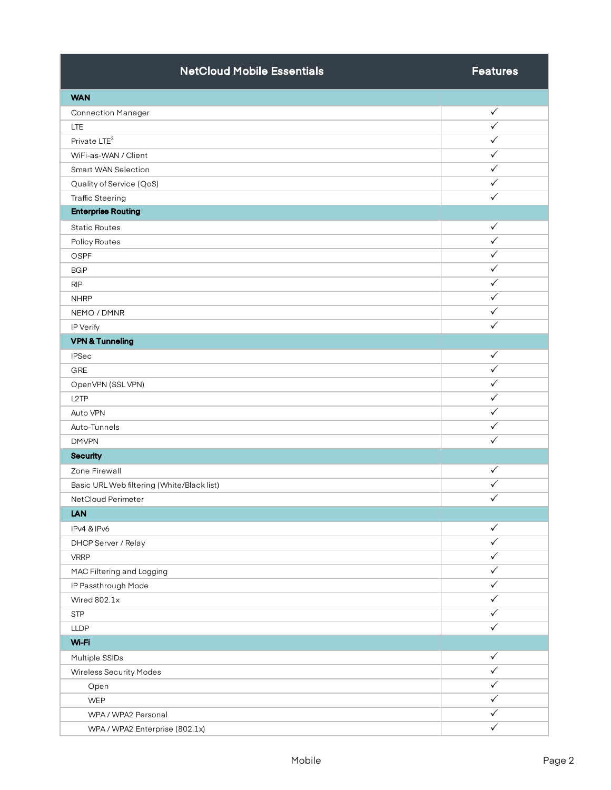| <b>NetCloud Mobile Essentials</b>          | <b>Features</b> |
|--------------------------------------------|-----------------|
| <b>WAN</b>                                 |                 |
| <b>Connection Manager</b>                  | $\checkmark$    |
| <b>LTE</b>                                 | ✓               |
| Private LTE <sup>3</sup>                   | $\checkmark$    |
| WiFi-as-WAN / Client                       | $\checkmark$    |
| Smart WAN Selection                        | $\checkmark$    |
| Quality of Service (QoS)                   | $\checkmark$    |
| <b>Traffic Steering</b>                    | $\checkmark$    |
| <b>Enterprise Routing</b>                  |                 |
| <b>Static Routes</b>                       | $\checkmark$    |
| Policy Routes                              | $\checkmark$    |
| <b>OSPF</b>                                | ✓               |
| <b>BGP</b>                                 | ✓               |
| <b>RIP</b>                                 | $\checkmark$    |
| <b>NHRP</b>                                | $\checkmark$    |
| NEMO / DMNR                                | $\checkmark$    |
| IP Verify                                  | $\checkmark$    |
| <b>VPN &amp; Tunneling</b>                 |                 |
| <b>IPSec</b>                               | $\checkmark$    |
| GRE                                        | $\checkmark$    |
| OpenVPN (SSL VPN)                          | $\checkmark$    |
| L <sub>2</sub> TP                          | $\checkmark$    |
| Auto VPN                                   | $\checkmark$    |
| Auto-Tunnels                               | $\checkmark$    |
| <b>DMVPN</b>                               | $\checkmark$    |
| <b>Security</b>                            |                 |
| Zone Firewall                              | $\checkmark$    |
| Basic URL Web filtering (White/Black list) | $\checkmark$    |
| NetCloud Perimeter                         | $\checkmark$    |
| <b>LAN</b>                                 |                 |
| IPv4 & IPv6                                | $\checkmark$    |
| DHCP Server / Relay                        | $\checkmark$    |
| <b>VRRP</b>                                | ✓               |
| MAC Filtering and Logging                  | $\checkmark$    |
| IP Passthrough Mode                        | ✓               |
| Wired 802.1x                               | ✓               |
| <b>STP</b>                                 | $\checkmark$    |
| <b>LLDP</b>                                | $\checkmark$    |
| Wi-Fi                                      |                 |
| Multiple SSIDs                             | $\checkmark$    |
| <b>Wireless Security Modes</b>             | ✓               |
| Open                                       | $\checkmark$    |
| <b>WEP</b>                                 | ✓               |
| WPA / WPA2 Personal                        | $\checkmark$    |
| WPA / WPA2 Enterprise (802.1x)             | $\checkmark$    |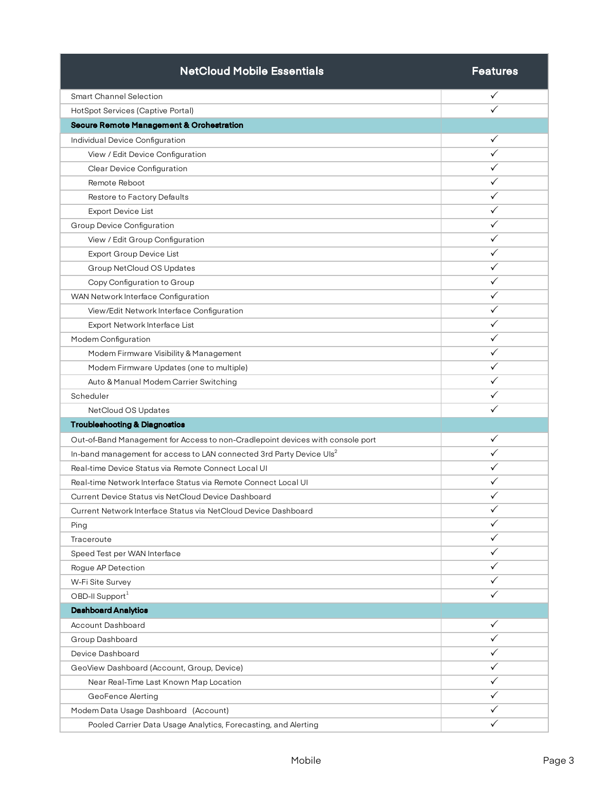| <b>NetCloud Mobile Essentials</b>                                                | <b>Features</b> |
|----------------------------------------------------------------------------------|-----------------|
| <b>Smart Channel Selection</b>                                                   | ✓               |
| HotSpot Services (Captive Portal)                                                |                 |
| <b>Secure Remote Management &amp; Orchestration</b>                              |                 |
| Individual Device Configuration                                                  | ✓               |
| View / Edit Device Configuration                                                 | ✓               |
| Clear Device Configuration                                                       | ✓               |
| Remote Reboot                                                                    | ✓               |
| Restore to Factory Defaults                                                      | ✓               |
| <b>Export Device List</b>                                                        | ✓               |
| Group Device Configuration                                                       | ✓               |
| View / Edit Group Configuration                                                  | ✓               |
| Export Group Device List                                                         | ✓               |
| Group NetCloud OS Updates                                                        | ✓               |
| Copy Configuration to Group                                                      | ✓               |
| WAN Network Interface Configuration                                              | $\checkmark$    |
| View/Edit Network Interface Configuration                                        | ✓               |
| Export Network Interface List                                                    | ✓               |
| Modem Configuration                                                              | ✓               |
| Modem Firmware Visibility & Management                                           | ✓               |
| Modem Firmware Updates (one to multiple)                                         | ✓               |
| Auto & Manual Modem Carrier Switching                                            | ✓               |
| Scheduler                                                                        | ✓               |
| NetCloud OS Updates                                                              | ✓               |
| <b>Troubleshooting &amp; Diagnostics</b>                                         |                 |
| Out-of-Band Management for Access to non-Cradlepoint devices with console port   | ✓               |
| In-band management for access to LAN connected 3rd Party Device Uls <sup>2</sup> | ✓               |
| Real-time Device Status via Remote Connect Local UI                              | ✓               |
| Real-time Network Interface Status via Remote Connect Local UI                   | ✓               |
| Current Device Status vis NetCloud Device Dashboard                              | ✓               |
| Current Network Interface Status via NetCloud Device Dashboard                   | $\checkmark$    |
| Ping                                                                             | ✓               |
| Traceroute                                                                       | ✓               |
| Speed Test per WAN Interface                                                     | ✓               |
| Rogue AP Detection                                                               | $\checkmark$    |
| W-Fi Site Survey                                                                 | ✓               |
| OBD-II Support1                                                                  | ✓               |
| <b>Dashboard Analytics</b>                                                       |                 |
| Account Dashboard                                                                | $\checkmark$    |
| Group Dashboard                                                                  | $\checkmark$    |
| Device Dashboard                                                                 | ✓               |
| GeoView Dashboard (Account, Group, Device)                                       | ✓               |
| Near Real-Time Last Known Map Location                                           | $\checkmark$    |
| GeoFence Alerting                                                                | ✓               |
| Modem Data Usage Dashboard (Account)                                             | ✓               |
| Pooled Carrier Data Usage Analytics, Forecasting, and Alerting                   | ✓               |